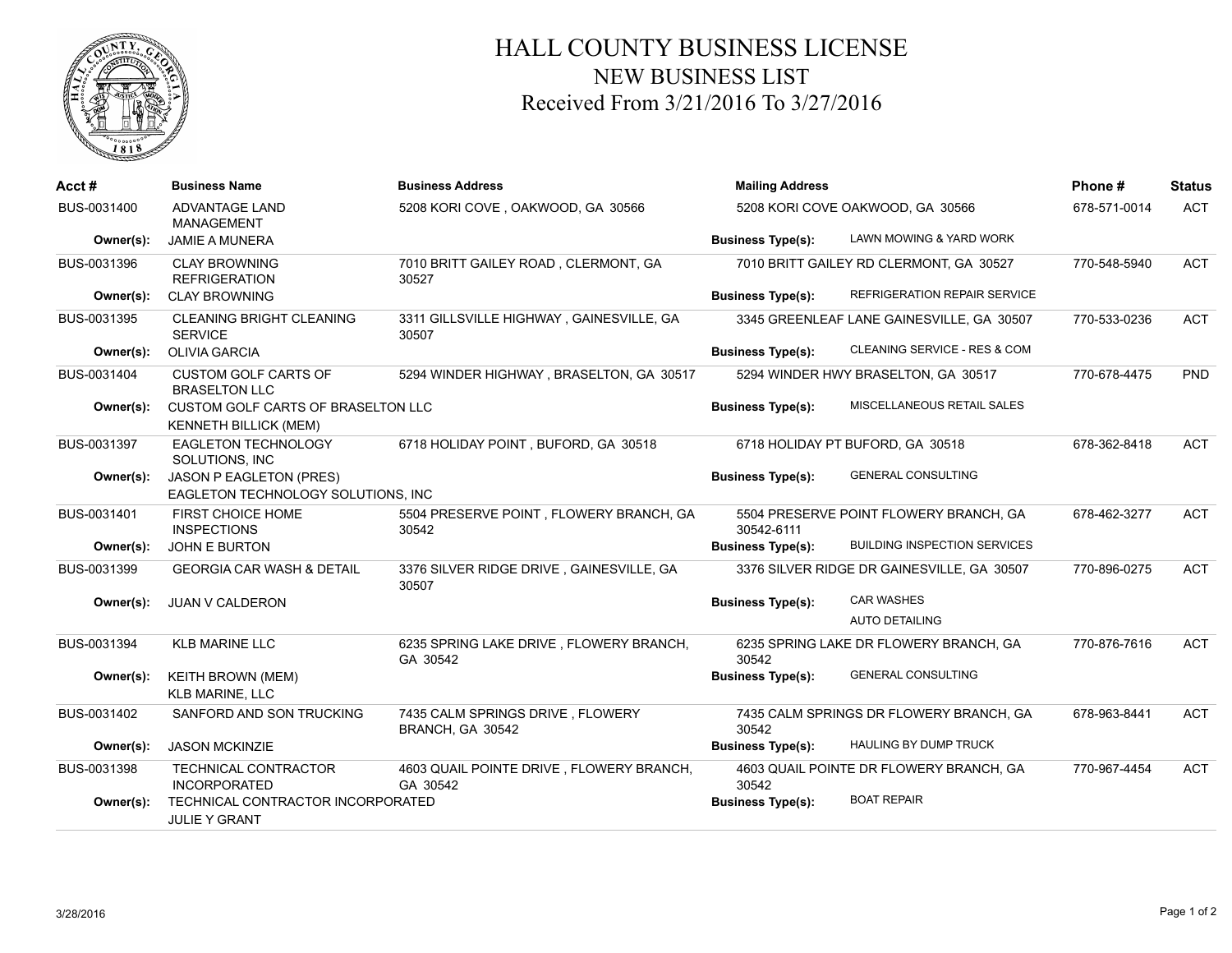

## HALL COUNTY BUSINESS LICENSE NEW BUSINESS LIST Received From 3/21/2016 To 3/27/2016

| Acct#       | <b>Business Name</b>                                               | <b>Business Address</b>                              | <b>Mailing Address</b>           |                                            | Phone#       | <b>Status</b> |
|-------------|--------------------------------------------------------------------|------------------------------------------------------|----------------------------------|--------------------------------------------|--------------|---------------|
| BUS-0031400 | <b>ADVANTAGE LAND</b><br>MANAGEMENT                                | 5208 KORI COVE, OAKWOOD, GA 30566                    | 5208 KORI COVE OAKWOOD, GA 30566 | 678-571-0014                               | <b>ACT</b>   |               |
| Owner(s):   | <b>JAMIE A MUNERA</b>                                              |                                                      | <b>Business Type(s):</b>         | LAWN MOWING & YARD WORK                    |              |               |
| BUS-0031396 | <b>CLAY BROWNING</b><br><b>REFRIGERATION</b>                       | 7010 BRITT GAILEY ROAD, CLERMONT, GA<br>30527        |                                  | 7010 BRITT GAILEY RD CLERMONT, GA 30527    | 770-548-5940 | <b>ACT</b>    |
| Owner(s):   | <b>CLAY BROWNING</b>                                               |                                                      | <b>Business Type(s):</b>         | REFRIGERATION REPAIR SERVICE               |              |               |
| BUS-0031395 | <b>CLEANING BRIGHT CLEANING</b><br><b>SERVICE</b>                  | 3311 GILLSVILLE HIGHWAY, GAINESVILLE, GA<br>30507    |                                  | 3345 GREENLEAF LANE GAINESVILLE, GA 30507  | 770-533-0236 | <b>ACT</b>    |
| Owner(s):   | <b>OLIVIA GARCIA</b>                                               |                                                      | <b>Business Type(s):</b>         | CLEANING SERVICE - RES & COM               |              |               |
| BUS-0031404 | <b>CUSTOM GOLF CARTS OF</b><br><b>BRASELTON LLC</b>                | 5294 WINDER HIGHWAY, BRASELTON, GA 30517             |                                  | 5294 WINDER HWY BRASELTON, GA 30517        | 770-678-4475 | PND           |
| Owner(s):   | CUSTOM GOLF CARTS OF BRASELTON LLC<br><b>KENNETH BILLICK (MEM)</b> |                                                      | <b>Business Type(s):</b>         | MISCELLANEOUS RETAIL SALES                 |              |               |
| BUS-0031397 | EAGLETON TECHNOLOGY<br>SOLUTIONS, INC                              | 6718 HOLIDAY POINT, BUFORD, GA 30518                 |                                  | 6718 HOLIDAY PT BUFORD, GA 30518           | 678-362-8418 | <b>ACT</b>    |
| Owner(s):   | JASON P EAGLETON (PRES)<br>EAGLETON TECHNOLOGY SOLUTIONS, INC      |                                                      | <b>Business Type(s):</b>         | <b>GENERAL CONSULTING</b>                  |              |               |
| BUS-0031401 | FIRST CHOICE HOME<br><b>INSPECTIONS</b>                            | 5504 PRESERVE POINT, FLOWERY BRANCH, GA<br>30542     | 30542-6111                       | 5504 PRESERVE POINT FLOWERY BRANCH, GA     | 678-462-3277 | <b>ACT</b>    |
| Owner(s):   | <b>JOHN E BURTON</b>                                               |                                                      | <b>Business Type(s):</b>         | <b>BUILDING INSPECTION SERVICES</b>        |              |               |
| BUS-0031399 | <b>GEORGIA CAR WASH &amp; DETAIL</b>                               | 3376 SILVER RIDGE DRIVE, GAINESVILLE, GA<br>30507    |                                  | 3376 SILVER RIDGE DR GAINESVILLE, GA 30507 | 770-896-0275 | <b>ACT</b>    |
| Owner(s):   | JUAN V CALDERON                                                    |                                                      | <b>Business Type(s):</b>         | <b>CAR WASHES</b>                          |              |               |
|             |                                                                    |                                                      |                                  | <b>AUTO DETAILING</b>                      |              |               |
| BUS-0031394 | <b>KLB MARINE LLC</b>                                              | 6235 SPRING LAKE DRIVE, FLOWERY BRANCH,<br>GA 30542  | 30542                            | 6235 SPRING LAKE DR FLOWERY BRANCH, GA     | 770-876-7616 | <b>ACT</b>    |
| Owner(s):   | <b>KEITH BROWN (MEM)</b><br><b>KLB MARINE, LLC</b>                 |                                                      | <b>Business Type(s):</b>         | <b>GENERAL CONSULTING</b>                  |              |               |
| BUS-0031402 | SANFORD AND SON TRUCKING                                           | 7435 CALM SPRINGS DRIVE, FLOWERY<br>BRANCH, GA 30542 | 30542                            | 7435 CALM SPRINGS DR FLOWERY BRANCH, GA    | 678-963-8441 | <b>ACT</b>    |
| Owner(s):   | <b>JASON MCKINZIE</b>                                              |                                                      | <b>Business Type(s):</b>         | HAULING BY DUMP TRUCK                      |              |               |
| BUS-0031398 | <b>TECHNICAL CONTRACTOR</b><br><b>INCORPORATED</b>                 | 4603 QUAIL POINTE DRIVE, FLOWERY BRANCH,<br>GA 30542 | 30542                            | 4603 QUAIL POINTE DR FLOWERY BRANCH, GA    | 770-967-4454 | <b>ACT</b>    |
| Owner(s):   | TECHNICAL CONTRACTOR INCORPORATED<br><b>JULIE Y GRANT</b>          |                                                      | <b>Business Type(s):</b>         | <b>BOAT REPAIR</b>                         |              |               |